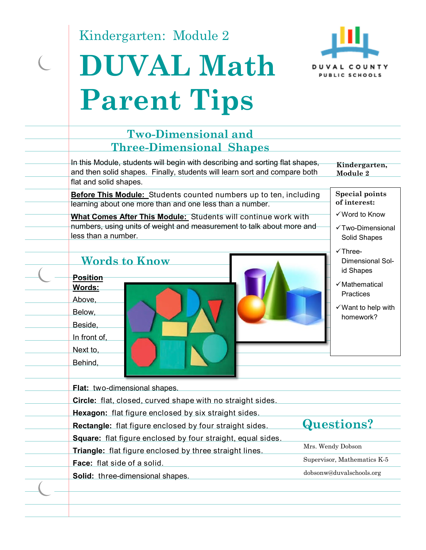Kindergarten: Module 2

 $\overline{C}$ 

# **DUVAL Math Parent Tips**



| In this Module, students will begin with describing and sorting flat shapes,<br>and then solid shapes. Finally, students will learn sort and compare both<br>flat and solid shapes.                                                                                                                                                                                                                                                                                                                                              | Kindergarten,<br>Module 2                                                                                                                                                                                                        |
|----------------------------------------------------------------------------------------------------------------------------------------------------------------------------------------------------------------------------------------------------------------------------------------------------------------------------------------------------------------------------------------------------------------------------------------------------------------------------------------------------------------------------------|----------------------------------------------------------------------------------------------------------------------------------------------------------------------------------------------------------------------------------|
| <b>Before This Module:</b> Students counted numbers up to ten, including<br>learning about one more than and one less than a number.<br>What Comes After This Module: Students will continue work with<br>numbers, using units of weight and measurement to talk about more and<br>less than a number.<br><b>Words to Know</b><br><b>Position</b><br>Words:<br>Above,<br>Below,<br>Beside,<br>In front of,<br>Next to,<br>Behind,<br>Flat: two-dimensional shapes.<br>Circle: flat, closed, curved shape with no straight sides. | <b>Special points</b><br>of interest:<br>√ Word to Know<br>√Two-Dimensional<br>Solid Shapes<br>$\checkmark$ Three-<br>Dimensional Sol-<br>id Shapes<br>√Mathematical<br>Practices<br>$\checkmark$ Want to help with<br>homework? |
| Hexagon: flat figure enclosed by six straight sides.<br>Rectangle: flat figure enclosed by four straight sides.                                                                                                                                                                                                                                                                                                                                                                                                                  | Questions?                                                                                                                                                                                                                       |
| <b>Square:</b> flat figure enclosed by four straight, equal sides.                                                                                                                                                                                                                                                                                                                                                                                                                                                               |                                                                                                                                                                                                                                  |
| Triangle: flat figure enclosed by three straight lines.                                                                                                                                                                                                                                                                                                                                                                                                                                                                          | Mrs. Wendy Dobson                                                                                                                                                                                                                |
|                                                                                                                                                                                                                                                                                                                                                                                                                                                                                                                                  |                                                                                                                                                                                                                                  |
| Face: flat side of a solid                                                                                                                                                                                                                                                                                                                                                                                                                                                                                                       | Supervisor, Mathematics K-5                                                                                                                                                                                                      |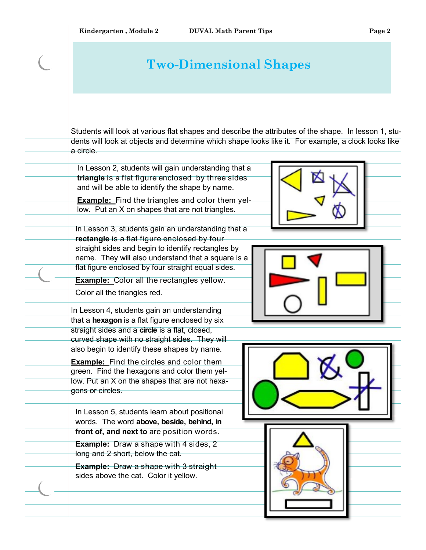### **Two-Dimensional Shapes**

Students will look at various flat shapes and describe the attributes of the shape. In lesson 1, students will look at objects and determine which shape looks like it. For example, a clock looks like a circle.

In Lesson 2, students will gain understanding that a **triangle** is a flat figure enclosed by three sides and will be able to identify the shape by name.

**Example:** Find the triangles and color them yellow. Put an X on shapes that are not triangles.

In Lesson 3, students gain an understanding that a **rectangle** is a flat figure enclosed by four straight sides and begin to identify rectangles by name. They will also understand that a square is a flat figure enclosed by four straight equal sides.

**Example:** Color all the rectangles yellow.

Color all the triangles red.

In Lesson 4, students gain an understanding that a **hexagon** is a flat figure enclosed by six straight sides and a **circle** is a flat, closed, curved shape with no straight sides. They will also begin to identify these shapes by name.

**Example:** Find the circles and color them green. Find the hexagons and color them yellow. Put an X on the shapes that are not hexagons or circles.

In Lesson 5, students learn about positional words. The word **above, beside, behind, in front of, and next to** are position words.

**Example:** Draw a shape with 4 sides, 2 long and 2 short, below the cat.

**Example:** Draw a shape with 3 straight sides above the cat. Color it yellow.







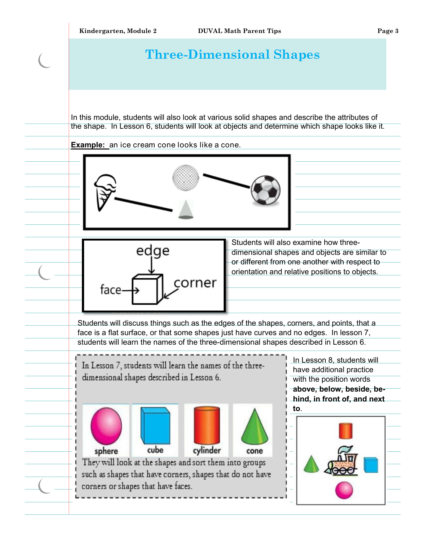### **Three-Dimensional Shapes**

In this module, students will also look at various solid shapes and describe the attributes of the shape. In Lesson 6, students will look at objects and determine which shape looks like it.

**Example:** an ice cream cone looks like a cone.





Students will also examine how threedimensional shapes and objects are similar to or different from one another with respect to orientation and relative positions to objects.

highlight a new Students will discuss things such as the edges of the shapes, corners, and points, that a face is a flat surface, or that some shapes just have curves and no edges. In lesson 7, students will learn the names of the three-dimensional shapes described in Lesson 6.

In Lesson 7, students will learn the names of the threedimensional shapes described in Lesson 6.



They will look at the shapes and sort them into groups such as shapes that have corners, shapes that do not have corners or shapes that have faces.

In Lesson 8, students will have additional practice with the position words **above, below, beside, behind, in front of, and next to**.